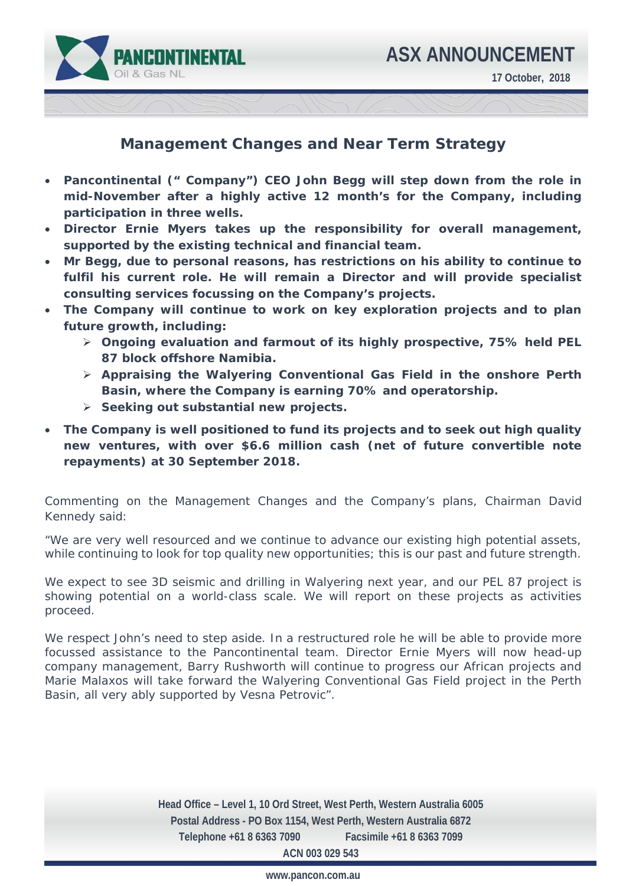

## **Management Changes and Near Term Strategy**

- **Pancontinental (" Company") CEO John Begg will step down from the role in mid-November after a highly active 12 month's for the Company, including participation in three wells.**
- **Director Ernie Myers takes up the responsibility for overall management, supported by the existing technical and financial team.**
- **Mr Begg, due to personal reasons, has restrictions on his ability to continue to fulfil his current role. He will remain a Director and will provide specialist consulting services focussing on the Company's projects.**
- **The Company will continue to work on key exploration projects and to plan future growth, including:**
	- **Ongoing evaluation and farmout of its highly prospective, 75% held PEL 87 block offshore Namibia.**
	- **Appraising the Walyering Conventional Gas Field in the onshore Perth Basin, where the Company is earning 70% and operatorship.**
	- **Seeking out substantial new projects.**
- **The Company is well positioned to fund its projects and to seek out high quality new ventures, with over \$6.6 million cash (net of future convertible note repayments) at 30 September 2018.**

Commenting on the Management Changes and the Company's plans, Chairman David Kennedy said:

*"We are very well resourced and we continue to advance our existing high potential assets, while continuing to look for top quality new opportunities; this is our past and future strength.* 

*We expect to see 3D seismic and drilling in Walyering next year, and our PEL 87 project is showing potential on a world-class scale. We will report on these projects as activities proceed.* 

*We respect John's need to step aside. In a restructured role he will be able to provide more focussed assistance to the Pancontinental team. Director Ernie Myers will now head-up company management, Barry Rushworth will continue to progress our African projects and Marie Malaxos will take forward the Walyering Conventional Gas Field project in the Perth Basin, all very ably supported by Vesna Petrovic".* 

> **Head Office – Level 1, 10 Ord Street, West Perth, Western Australia 6005 Postal Address - PO Box 1154, West Perth, Western Australia 6872 Telephone +61 8 6363 7090 Facsimile +61 8 6363 7099 ACN 003 029 543**

> > **www.pancon.com.au**